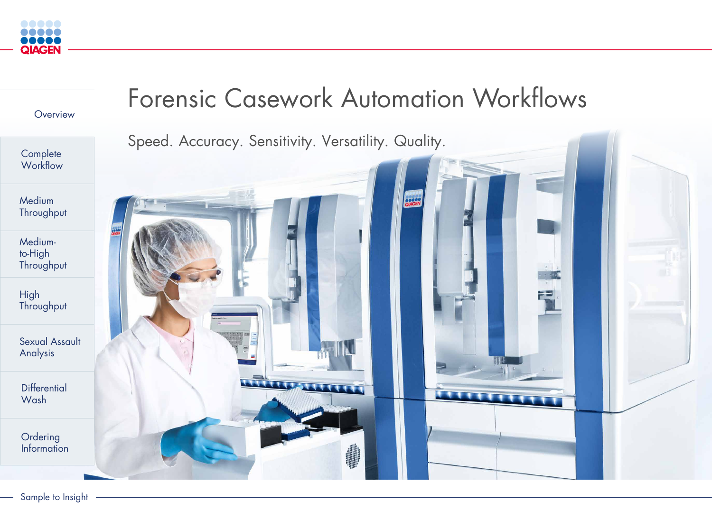# Forensic Casework Automation Workflows



<span id="page-0-0"></span>



Speed. Accuracy. Sensitivity. Versatility. Quality.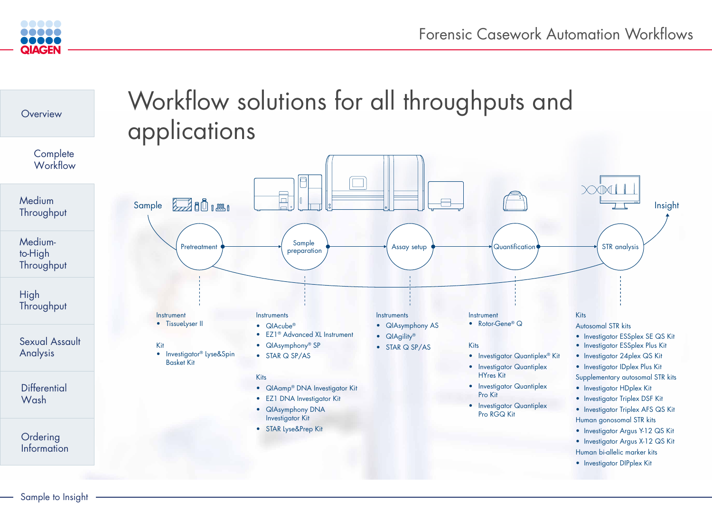

<span id="page-1-0"></span>

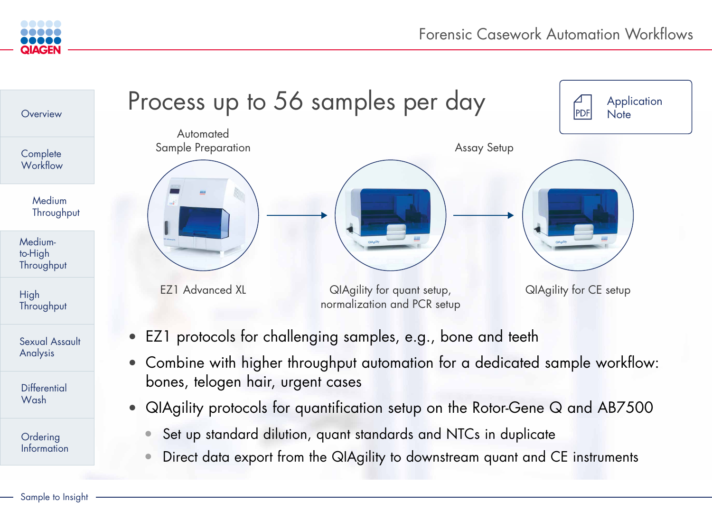• EZ1 protocols for challenging samples, e.g., bone and teeth

• Combine with higher throughput automation for a dedicated sample workflow:

<span id="page-2-0"></span>



**Automated** 



- 
- bones, telogen hair, urgent cases
- -
	-

EZ1 Advanced XL QIAgility for quant setup, normalization and PCR setup

• QIAgility protocols for quantification setup on the Rotor-Gene Q and AB7500

• Set up standard dilution, quant standards and NTCs in duplicate

• Direct data export from the QIAgility to downstream quant and CE instruments





QIAgility for CE setup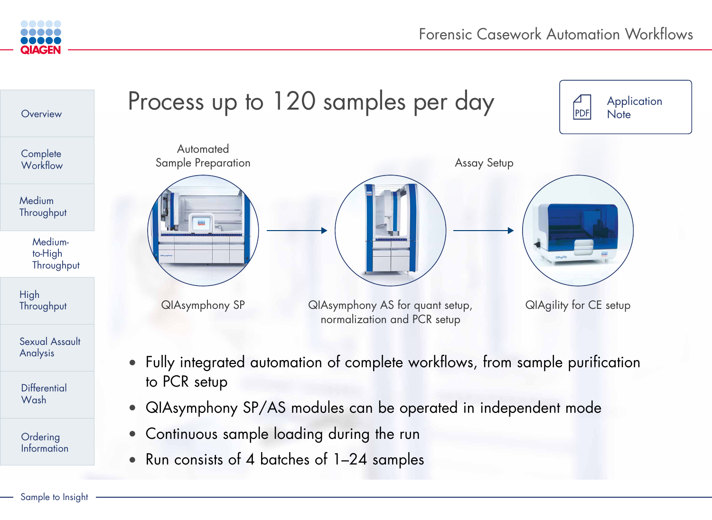High **[Throughput](#page-4-0)** 

<span id="page-3-0"></span>



**Complete Workflow** 

**Medium [Throughput](#page-2-0)** 

**Differential** Wash

**Ordering** [Information](#page-7-0)

Mediumto-High **Throughput** 

[Sexual Assault](#page-5-0)  Analysis



- to PCR setup
- 
- Continuous sample loading during the run
- Run consists of 4 batches of 1-24 samples

## Process up to 120 samples per day

**Automated** 

• QIAsymphony SP/AS modules can be operated in independent mode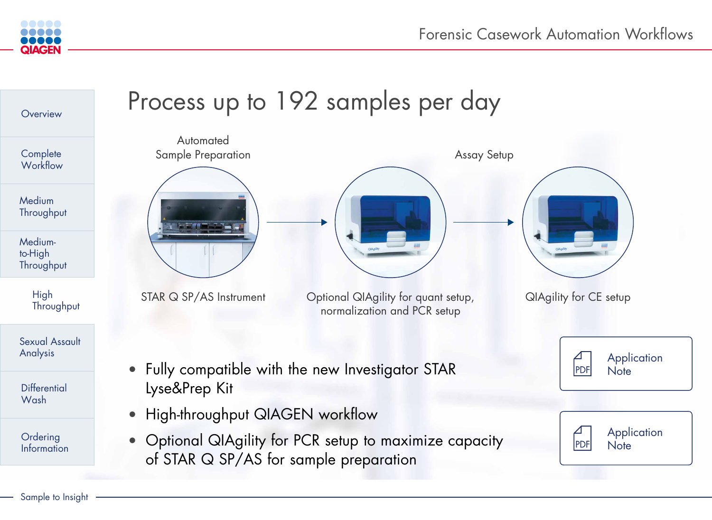Forensic Casework Automation Workflows



<span id="page-4-0"></span>

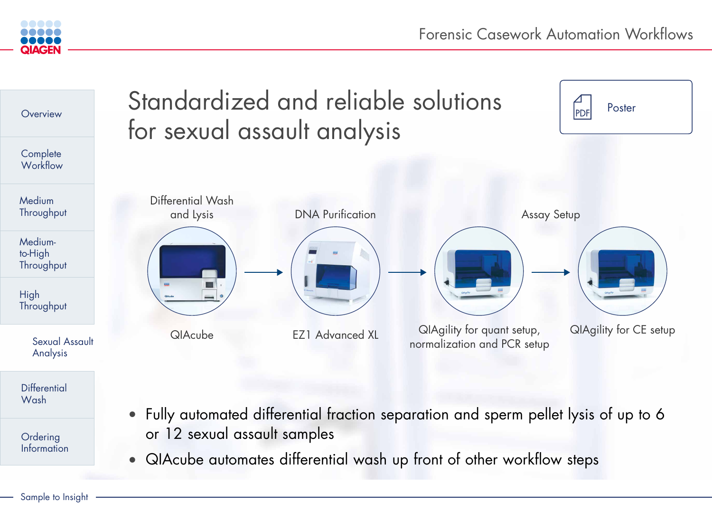

<span id="page-5-0"></span>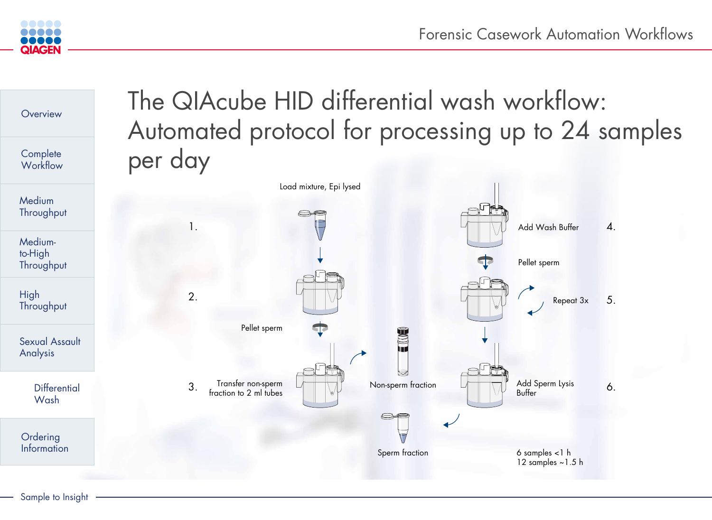

<span id="page-6-0"></span>